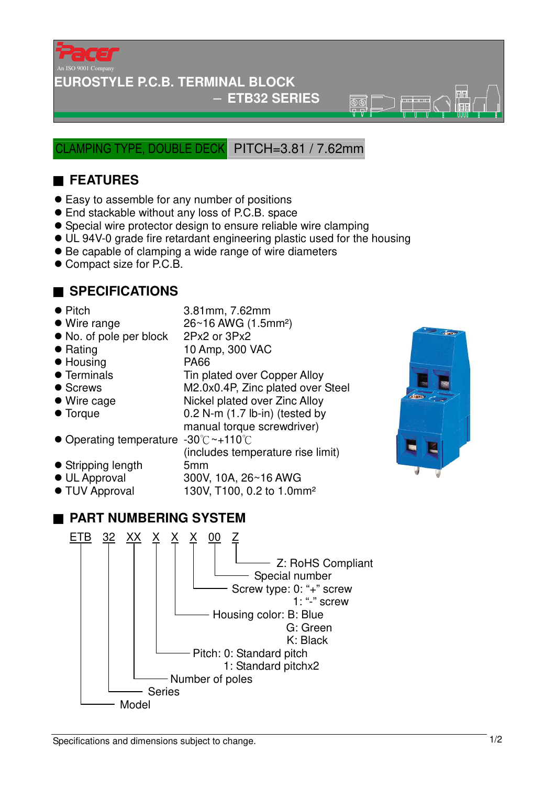

#### **EUROSTYLE P.C.B. TERMINAL BLOCK**

#### − **ETB32 SERIES**

 $\overline{\circ}$ 

LAMPING TYPE, DOUBLE DECK PITCH=3.81 / 7.62mm

## ■ **FEATURES**

- Easy to assemble for any number of positions
- End stackable without any loss of P.C.B. space
- Special wire protector design to ensure reliable wire clamping
- UL 94V-0 grade fire retardant engineering plastic used for the housing
- Be capable of clamping a wide range of wire diameters
- Compact size for P.C.B.

#### ■ **SPECIFICATIONS**

- Pitch 3.81mm, 7.62mm
- $\bullet$  Wire range  $26~16$  AWG (1.5mm<sup>2</sup>)
- No. of pole per block 2Px2 or 3Px2
- 
- Housing PA66
- 
- 
- 
- 
- Operating temperature -30°C~+110°C
- Stripping length 5mm
- 
- 

## ● Rating 10 Amp, 300 VAC • Terminals Tin plated over Copper Alloy ● Screws M2.0x0.4P, Zinc plated over Steel ● Wire cage Nickel plated over Zinc Alloy ● Torque 0.2 N-m (1.7 lb-in) (tested by manual torque screwdriver)

(includes temperature rise limit)

- 
- UL Approval 300V, 10A, 26~16 AWG<br>● TUV Approval 130V, T100, 0.2 to 1.0m 130V, T100, 0.2 to 1.0mm<sup>2</sup>

## ■ **PART NUMBERING SYSTEM**